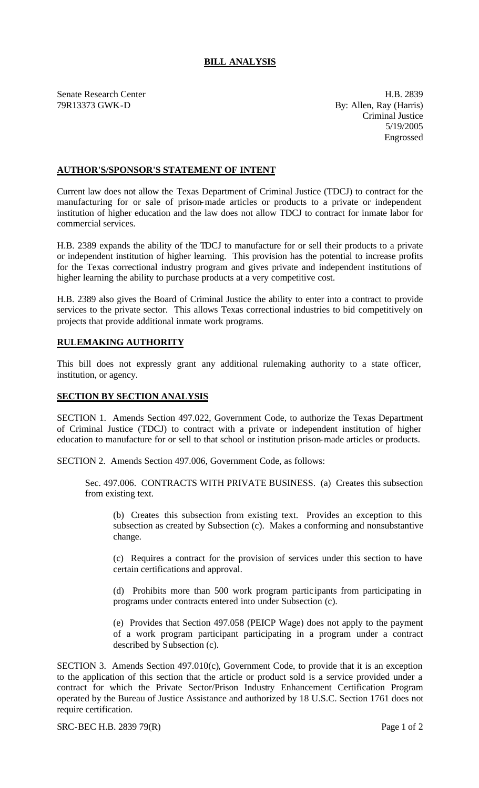## **BILL ANALYSIS**

Senate Research Center **H.B. 2839** 79R13373 GWK-D By: Allen, Ray (Harris)

Criminal Justice 5/19/2005 Engrossed

## **AUTHOR'S/SPONSOR'S STATEMENT OF INTENT**

Current law does not allow the Texas Department of Criminal Justice (TDCJ) to contract for the manufacturing for or sale of prison-made articles or products to a private or independent institution of higher education and the law does not allow TDCJ to contract for inmate labor for commercial services.

H.B. 2389 expands the ability of the TDCJ to manufacture for or sell their products to a private or independent institution of higher learning. This provision has the potential to increase profits for the Texas correctional industry program and gives private and independent institutions of higher learning the ability to purchase products at a very competitive cost.

H.B. 2389 also gives the Board of Criminal Justice the ability to enter into a contract to provide services to the private sector. This allows Texas correctional industries to bid competitively on projects that provide additional inmate work programs.

## **RULEMAKING AUTHORITY**

This bill does not expressly grant any additional rulemaking authority to a state officer, institution, or agency.

## **SECTION BY SECTION ANALYSIS**

SECTION 1. Amends Section 497.022, Government Code, to authorize the Texas Department of Criminal Justice (TDCJ) to contract with a private or independent institution of higher education to manufacture for or sell to that school or institution prison-made articles or products.

SECTION 2. Amends Section 497.006, Government Code, as follows:

Sec. 497.006. CONTRACTS WITH PRIVATE BUSINESS. (a) Creates this subsection from existing text.

(b) Creates this subsection from existing text. Provides an exception to this subsection as created by Subsection (c). Makes a conforming and nonsubstantive change.

(c) Requires a contract for the provision of services under this section to have certain certifications and approval.

(d) Prohibits more than 500 work program partic ipants from participating in programs under contracts entered into under Subsection (c).

(e) Provides that Section 497.058 (PEICP Wage) does not apply to the payment of a work program participant participating in a program under a contract described by Subsection (c).

SECTION 3. Amends Section 497.010(c), Government Code, to provide that it is an exception to the application of this section that the article or product sold is a service provided under a contract for which the Private Sector/Prison Industry Enhancement Certification Program operated by the Bureau of Justice Assistance and authorized by 18 U.S.C. Section 1761 does not require certification.